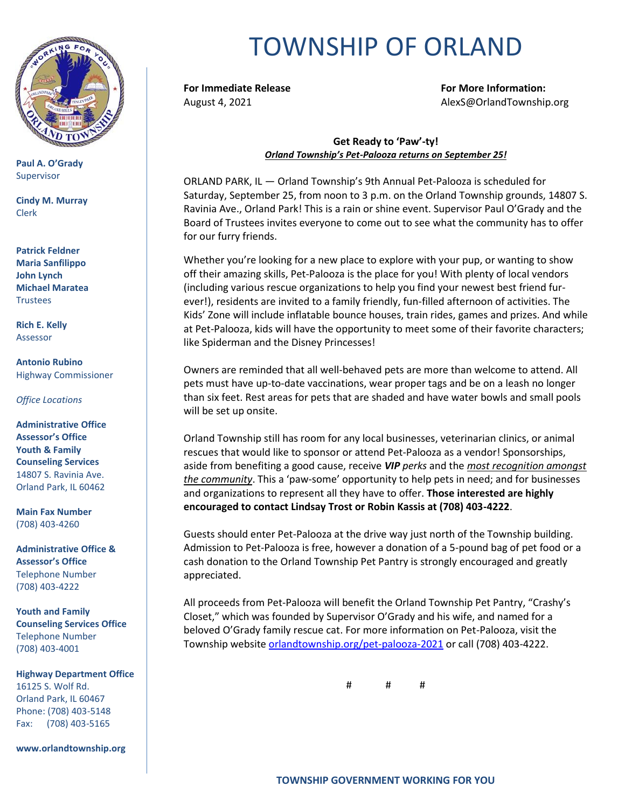

**Paul A. O'Grady** Supervisor

**Cindy M. Murray** Clerk

**Patrick Feldner Maria Sanfilippo John Lynch Michael Maratea Trustees** 

**Rich E. Kelly** Assessor

**Antonio Rubino** Highway Commissioner

*Office Locations*

**Administrative Office Assessor's Office Youth & Family Counseling Services** 14807 S. Ravinia Ave. Orland Park, IL 60462

**Main Fax Number**  (708) 403-4260

**Administrative Office & Assessor's Office**  Telephone Number (708) 403-4222

**Youth and Family Counseling Services Office**  Telephone Number (708) 403-4001

**Highway Department Office** 16125 S. Wolf Rd. Orland Park, IL 60467 Phone: (708) 403-5148 Fax: (708) 403-5165

**www.orlandtownship.org**

## TOWNSHIP OF ORLAND

**For Immediate Release For More Information:** August 4, 2021 **August 4, 2021 Alexs** @OrlandTownship.org

> **Get Ready to 'Paw'-ty!** *Orland Township's Pet-Palooza returns on September 25!*

ORLAND PARK, IL — Orland Township's 9th Annual Pet-Palooza is scheduled for Saturday, September 25, from noon to 3 p.m. on the Orland Township grounds, 14807 S. Ravinia Ave., Orland Park! This is a rain or shine event. Supervisor Paul O'Grady and the Board of Trustees invites everyone to come out to see what the community has to offer for our furry friends.

Whether you're looking for a new place to explore with your pup, or wanting to show off their amazing skills, Pet-Palooza is the place for you! With plenty of local vendors (including various rescue organizations to help you find your newest best friend furever!), residents are invited to a family friendly, fun-filled afternoon of activities. The Kids' Zone will include inflatable bounce houses, train rides, games and prizes. And while at Pet-Palooza, kids will have the opportunity to meet some of their favorite characters; like Spiderman and the Disney Princesses!

Owners are reminded that all well-behaved pets are more than welcome to attend. All pets must have up-to-date vaccinations, wear proper tags and be on a leash no longer than six feet. Rest areas for pets that are shaded and have water bowls and small pools will be set up onsite.

Orland Township still has room for any local businesses, veterinarian clinics, or animal rescues that would like to sponsor or attend Pet-Palooza as a vendor! Sponsorships, aside from benefiting a good cause, receive *VIP perks* and the *most recognition amongst the community*. This a 'paw-some' opportunity to help pets in need; and for businesses and organizations to represent all they have to offer. **Those interested are highly encouraged to contact Lindsay Trost or Robin Kassis at (708) 403-4222**.

Guests should enter Pet-Palooza at the drive way just north of the Township building. Admission to Pet-Palooza is free, however a donation of a 5-pound bag of pet food or a cash donation to the Orland Township Pet Pantry is strongly encouraged and greatly appreciated.

All proceeds from Pet-Palooza will benefit the Orland Township Pet Pantry, "Crashy's Closet," which was founded by Supervisor O'Grady and his wife, and named for a beloved O'Grady family rescue cat. For more information on Pet-Palooza, visit the Township website<orlandtownship.org/pet-palooza-2021> or call (708) 403-4222.

# # #